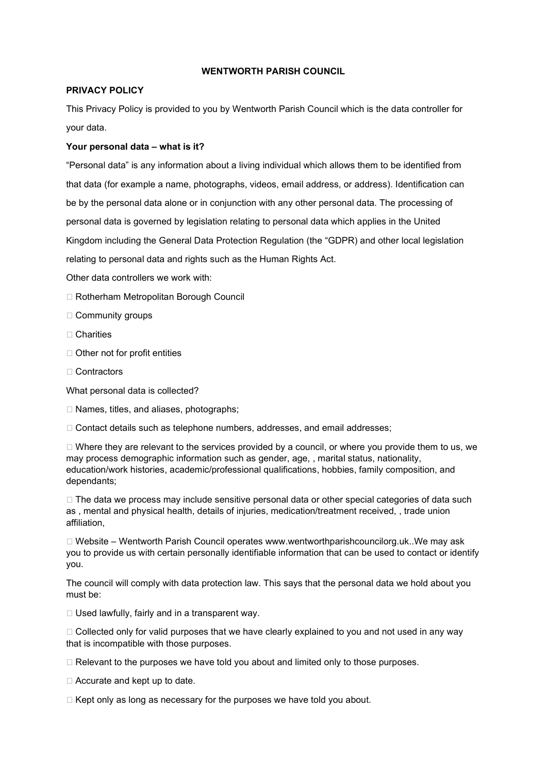# WENTWORTH PARISH COUNCIL

## PRIVACY POLICY

This Privacy Policy is provided to you by Wentworth Parish Council which is the data controller for your data.

# Your personal data – what is it?

"Personal data" is any information about a living individual which allows them to be identified from that data (for example a name, photographs, videos, email address, or address). Identification can be by the personal data alone or in conjunction with any other personal data. The processing of personal data is governed by legislation relating to personal data which applies in the United Kingdom including the General Data Protection Regulation (the "GDPR) and other local legislation relating to personal data and rights such as the Human Rights Act.

- Other data controllers we work with:
- □ Rotherham Metropolitan Borough Council
- $\Box$  Community groups
- □ Charities
- □ Other not for profit entities
- □ Contractors

What personal data is collected?

 $\Box$  Names, titles, and aliases, photographs;

 $\Box$  Contact details such as telephone numbers, addresses, and email addresses;

 $\Box$  Where they are relevant to the services provided by a council, or where you provide them to us, we may process demographic information such as gender, age, , marital status, nationality, education/work histories, academic/professional qualifications, hobbies, family composition, and dependants;

 $\Box$  The data we process may include sensitive personal data or other special categories of data such as , mental and physical health, details of injuries, medication/treatment received, , trade union affiliation,

 $\Box$  Website – Wentworth Parish Council operates www.wentworthparishcouncilorg.uk..We may ask you to provide us with certain personally identifiable information that can be used to contact or identify you.

The council will comply with data protection law. This says that the personal data we hold about you must be:

 $\Box$  Used lawfully, fairly and in a transparent way.

 $\Box$  Collected only for valid purposes that we have clearly explained to you and not used in any way that is incompatible with those purposes.

 $\Box$  Relevant to the purposes we have told you about and limited only to those purposes.

□ Accurate and kept up to date.

 $\Box$  Kept only as long as necessary for the purposes we have told you about.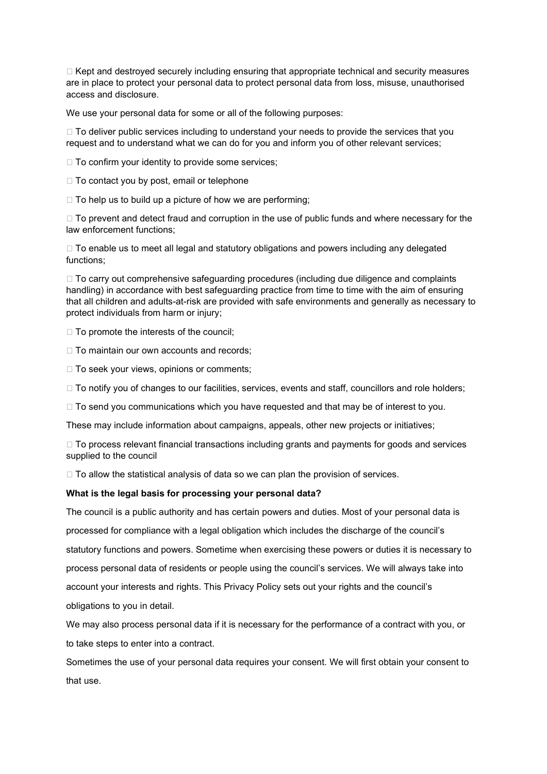$\Box$  Kept and destroyed securely including ensuring that appropriate technical and security measures are in place to protect your personal data to protect personal data from loss, misuse, unauthorised access and disclosure.

We use your personal data for some or all of the following purposes:

 $\Box$  To deliver public services including to understand your needs to provide the services that you request and to understand what we can do for you and inform you of other relevant services;

 $\Box$  To confirm your identity to provide some services;

 $\Box$  To contact you by post, email or telephone

 $\Box$  To help us to build up a picture of how we are performing:

 $\Box$  To prevent and detect fraud and corruption in the use of public funds and where necessary for the law enforcement functions;

 $\Box$  To enable us to meet all legal and statutory obligations and powers including any delegated functions;

 $\Box$  To carry out comprehensive safeguarding procedures (including due diligence and complaints handling) in accordance with best safeguarding practice from time to time with the aim of ensuring that all children and adults-at-risk are provided with safe environments and generally as necessary to protect individuals from harm or injury;

 $\Box$  To promote the interests of the council;

 $\Box$  To maintain our own accounts and records;

 $\Box$  To seek your views, opinions or comments;

 $\Box$  To notify you of changes to our facilities, services, events and staff, councillors and role holders;

□ To send you communications which you have requested and that may be of interest to you.

These may include information about campaigns, appeals, other new projects or initiatives;

 $\Box$  To process relevant financial transactions including grants and payments for goods and services supplied to the council

 $\Box$  To allow the statistical analysis of data so we can plan the provision of services.

#### What is the legal basis for processing your personal data?

The council is a public authority and has certain powers and duties. Most of your personal data is processed for compliance with a legal obligation which includes the discharge of the council's statutory functions and powers. Sometime when exercising these powers or duties it is necessary to process personal data of residents or people using the council's services. We will always take into account your interests and rights. This Privacy Policy sets out your rights and the council's obligations to you in detail.

We may also process personal data if it is necessary for the performance of a contract with you, or to take steps to enter into a contract.

Sometimes the use of your personal data requires your consent. We will first obtain your consent to that use.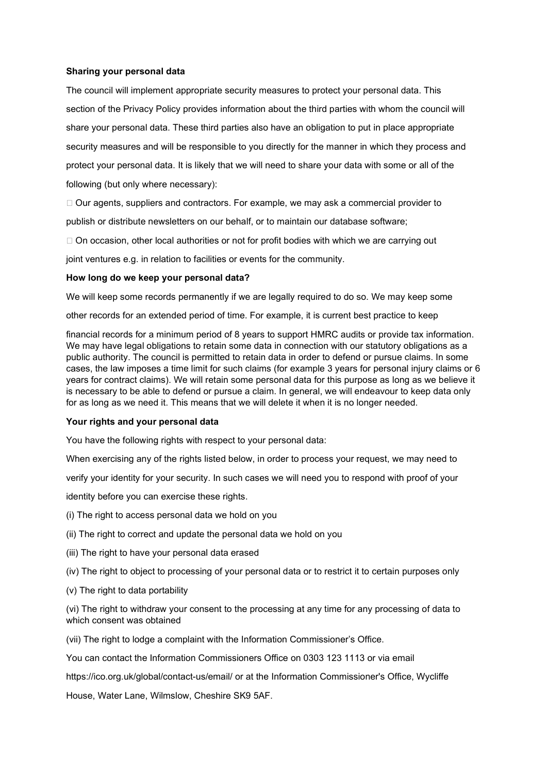### Sharing your personal data

The council will implement appropriate security measures to protect your personal data. This section of the Privacy Policy provides information about the third parties with whom the council will share your personal data. These third parties also have an obligation to put in place appropriate security measures and will be responsible to you directly for the manner in which they process and protect your personal data. It is likely that we will need to share your data with some or all of the following (but only where necessary):

 $\Box$  Our agents, suppliers and contractors. For example, we may ask a commercial provider to publish or distribute newsletters on our behalf, or to maintain our database software;

 $\Box$  On occasion, other local authorities or not for profit bodies with which we are carrying out

joint ventures e.g. in relation to facilities or events for the community.

# How long do we keep your personal data?

We will keep some records permanently if we are legally required to do so. We may keep some

other records for an extended period of time. For example, it is current best practice to keep

financial records for a minimum period of 8 years to support HMRC audits or provide tax information. We may have legal obligations to retain some data in connection with our statutory obligations as a public authority. The council is permitted to retain data in order to defend or pursue claims. In some cases, the law imposes a time limit for such claims (for example 3 years for personal injury claims or 6 years for contract claims). We will retain some personal data for this purpose as long as we believe it is necessary to be able to defend or pursue a claim. In general, we will endeavour to keep data only for as long as we need it. This means that we will delete it when it is no longer needed.

#### Your rights and your personal data

You have the following rights with respect to your personal data:

When exercising any of the rights listed below, in order to process your request, we may need to

verify your identity for your security. In such cases we will need you to respond with proof of your

identity before you can exercise these rights.

- (i) The right to access personal data we hold on you
- (ii) The right to correct and update the personal data we hold on you
- (iii) The right to have your personal data erased
- (iv) The right to object to processing of your personal data or to restrict it to certain purposes only
- (v) The right to data portability

(vi) The right to withdraw your consent to the processing at any time for any processing of data to which consent was obtained

(vii) The right to lodge a complaint with the Information Commissioner's Office.

You can contact the Information Commissioners Office on 0303 123 1113 or via email

https://ico.org.uk/global/contact-us/email/ or at the Information Commissioner's Office, Wycliffe

House, Water Lane, Wilmslow, Cheshire SK9 5AF.